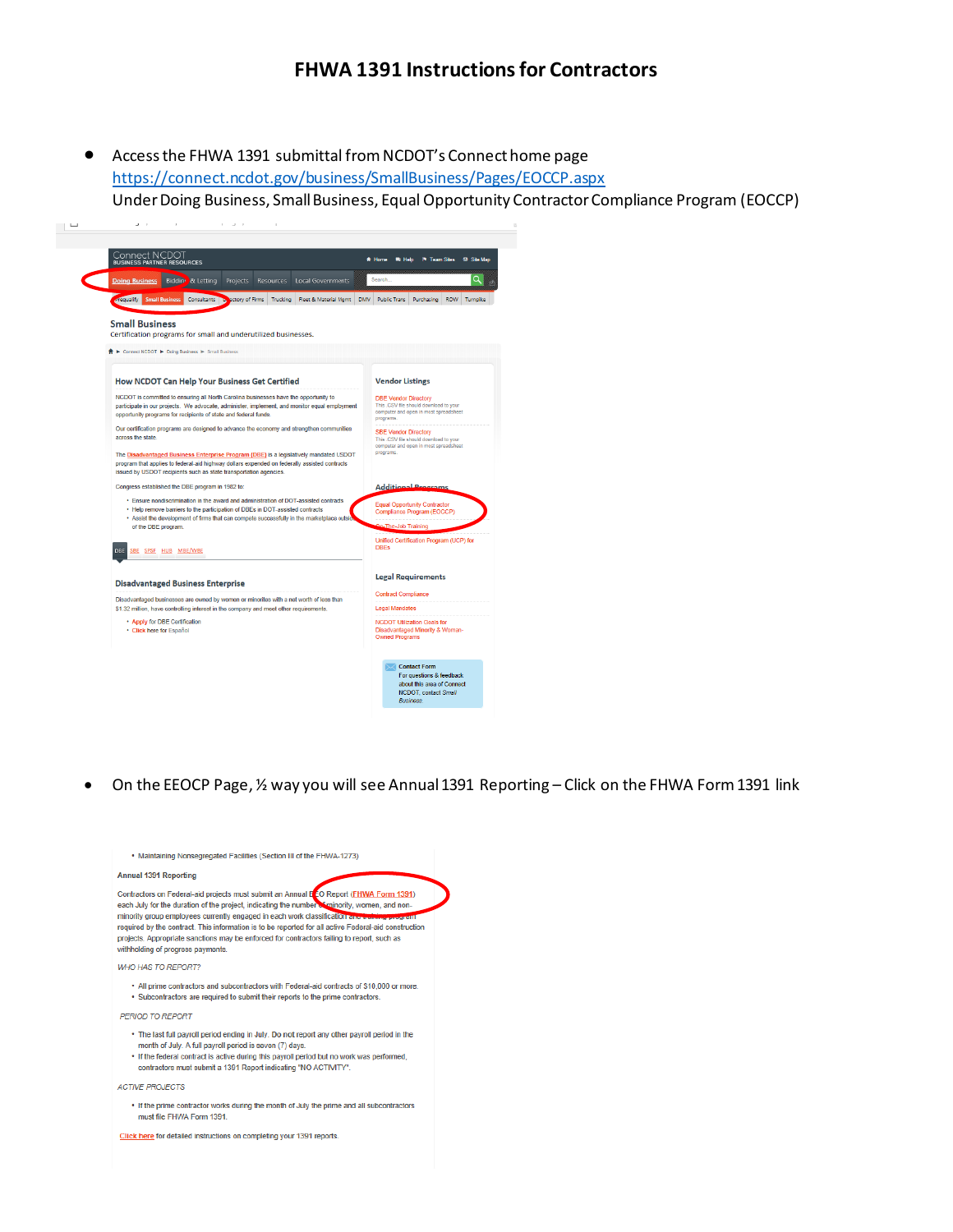### **FHWA 1391 Instructions for Contractors**

• Access the FHWA 1391 submittal from NCDOT's Connect home page https://connect.ncdot.gov/business/SmallBusiness/Pages/EOCCP.aspx Under Doing Business, Small Business, Equal Opportunity Contractor Compliance Program (EOCCP)



• On the EEOCP Page, ½ way you will see Annual 1391 Reporting – Click on the FHWA Form 1391 link

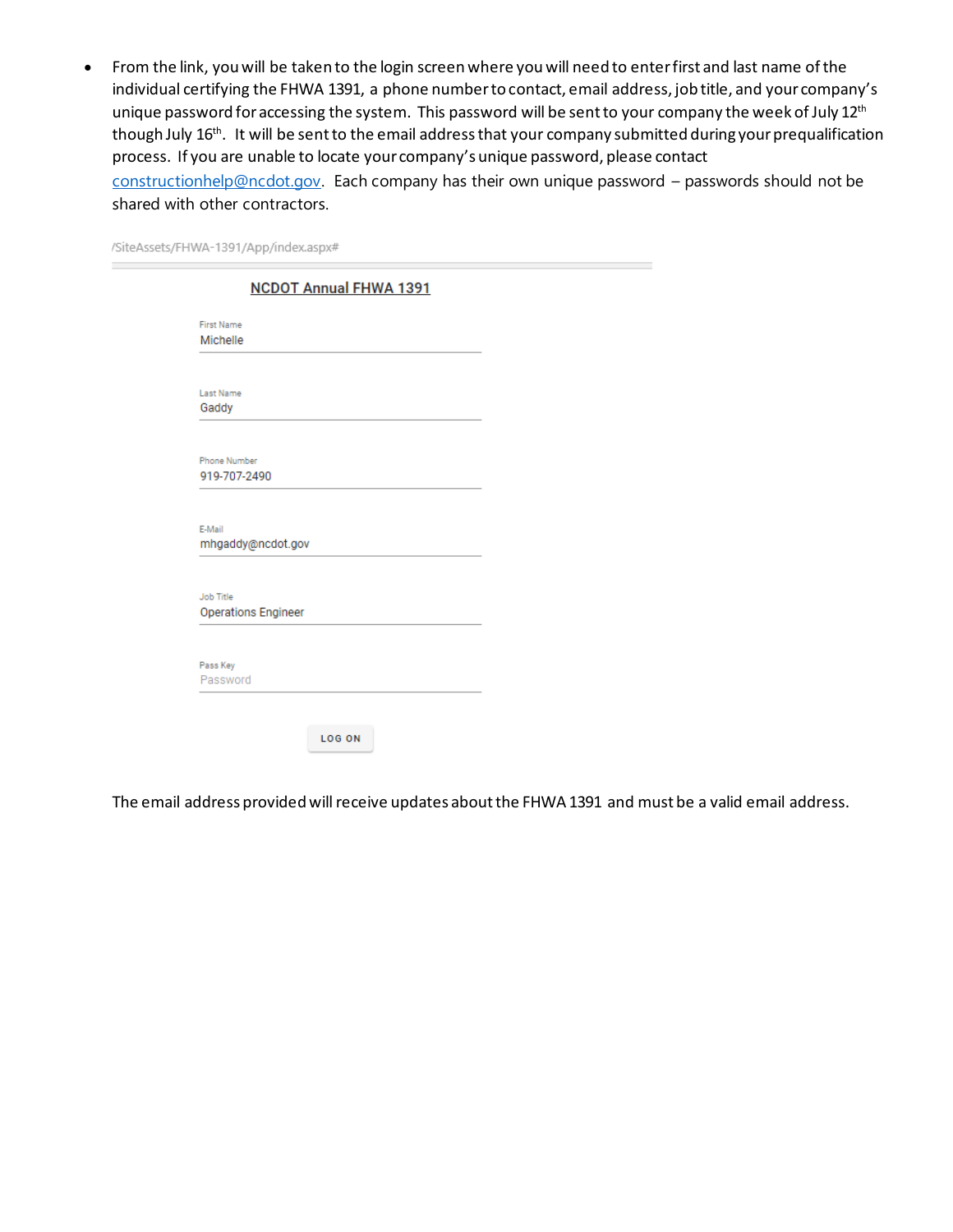• From the link, you will be taken to the login screen where you will need to enter first and last name of the individual certifying the FHWA 1391, a phone number to contact, email address, job title, and your company's unique password for accessing the system. This password will be sent to your company the week of July 12<sup>th</sup> though July 16<sup>th</sup>. It will be sent to the email address that your company submitted during your prequalification process. If you are unable to locate your company's unique password, please contact constructionhelp@ncdot.gov. Each company has their own unique password – passwords should not be shared with other contractors.

| /SiteAssets/FHWA-1391/App/index.aspx# |
|---------------------------------------|
|---------------------------------------|

|                               | <b>NCDOT Annual FHWA 1391</b> |  |
|-------------------------------|-------------------------------|--|
| <b>First Name</b><br>Michelle |                               |  |
|                               |                               |  |
| <b>Last Name</b>              |                               |  |
| Gaddy                         |                               |  |
| <b>Phone Number</b>           |                               |  |
| 919-707-2490                  |                               |  |
| E-Mail<br>mhgaddy@ncdot.gov   |                               |  |
| <b>Job Title</b>              |                               |  |
| <b>Operations Engineer</b>    |                               |  |
| Pass Key<br>Password          |                               |  |
|                               |                               |  |
|                               |                               |  |

The email address provided will receive updates about the FHWA 1391 and must be a valid email address.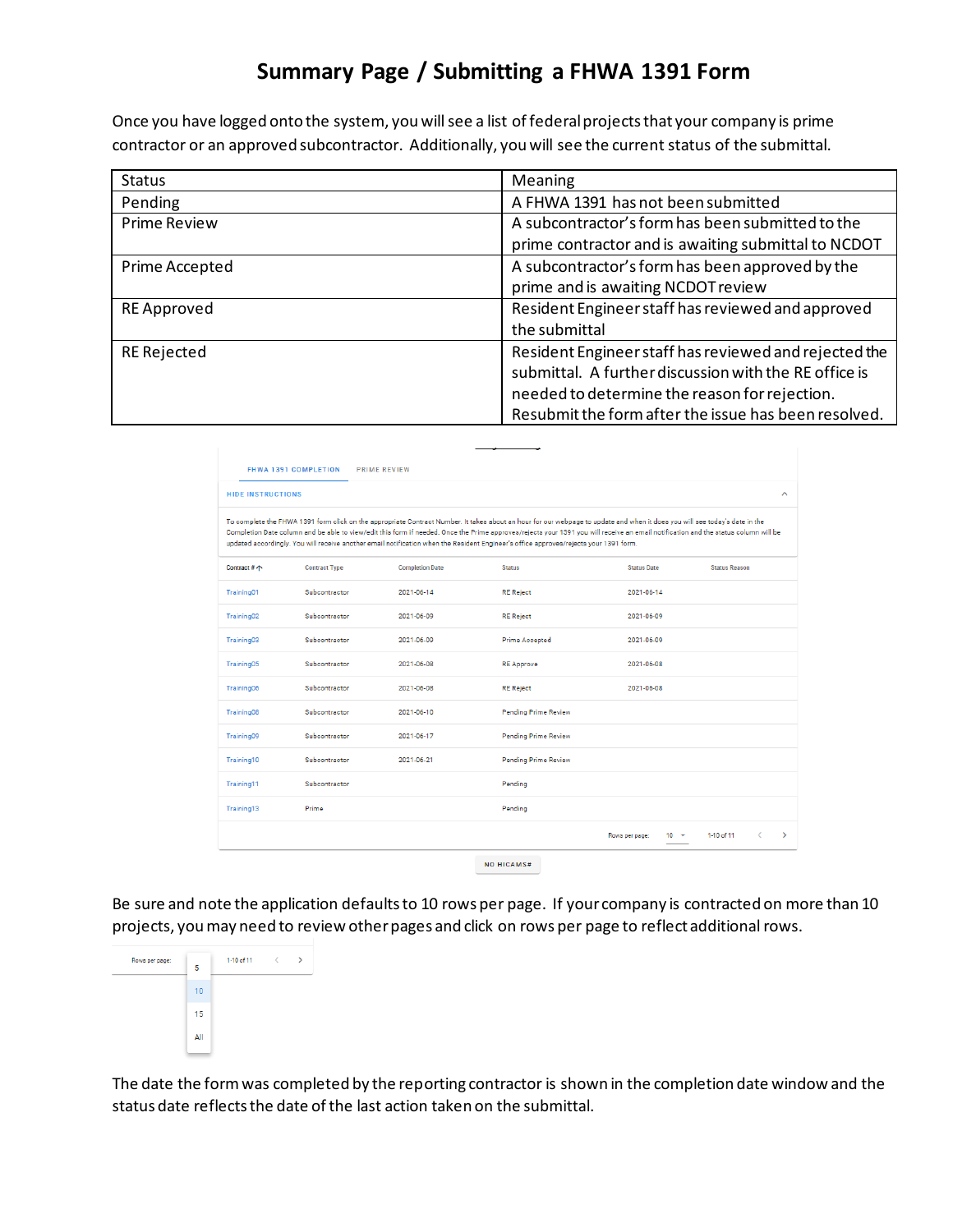# **Summary Page / Submitting a FHWA 1391 Form**

Once you have logged onto the system, you will see a list of federal projects that your company is prime contractor or an approved subcontractor. Additionally, you will see the current status of the submittal.

| <b>Status</b>       | Meaning                                               |
|---------------------|-------------------------------------------------------|
| Pending             | A FHWA 1391 has not been submitted                    |
| <b>Prime Review</b> | A subcontractor's form has been submitted to the      |
|                     | prime contractor and is awaiting submittal to NCDOT   |
| Prime Accepted      | A subcontractor's form has been approved by the       |
|                     | prime and is awaiting NCDOT review                    |
| <b>RE</b> Approved  | Resident Engineer staff has reviewed and approved     |
|                     | the submittal                                         |
| <b>RE Rejected</b>  | Resident Engineer staff has reviewed and rejected the |
|                     | submittal. A further discussion with the RE office is |
|                     | needed to determine the reason for rejection.         |
|                     | Resubmit the form after the issue has been resolved.  |

| <b>HIDE INSTRUCTIONS</b> |                      |                        |                                                                                                                                                                                                                                                                                                                                                                                                                                                                                                             |                            |                      |
|--------------------------|----------------------|------------------------|-------------------------------------------------------------------------------------------------------------------------------------------------------------------------------------------------------------------------------------------------------------------------------------------------------------------------------------------------------------------------------------------------------------------------------------------------------------------------------------------------------------|----------------------------|----------------------|
|                          |                      |                        |                                                                                                                                                                                                                                                                                                                                                                                                                                                                                                             |                            |                      |
|                          |                      |                        | To complete the FHWA 1391 form click on the appropriate Contract Number. It takes about an hour for our webpage to update and when it does you will see today's date in the<br>Completion Date column and be able to view/edit this form if needed. Once the Prime approves/rejects your 1391 you will receive an email notification and the status column will be<br>updated accordingly. You will receive another email notification when the Resident Engineer's office approves/rejects your 1391 form. |                            |                      |
| Contract # 个             | <b>Contract Type</b> | <b>Completion Date</b> | <b>Status</b>                                                                                                                                                                                                                                                                                                                                                                                                                                                                                               | <b>Status Date</b>         | <b>Status Reason</b> |
| Training01               | Subcontractor        | 2021-06-14             | <b>RE Reject</b>                                                                                                                                                                                                                                                                                                                                                                                                                                                                                            | 2021-06-14                 |                      |
| Training02               | Subcontractor        | 2021-06-09             | <b>RE</b> Reject                                                                                                                                                                                                                                                                                                                                                                                                                                                                                            | 2021-06-09                 |                      |
| Training03               | Subcontractor        | 2021-06-09             | <b>Prime Accepted</b>                                                                                                                                                                                                                                                                                                                                                                                                                                                                                       | 2021-06-09                 |                      |
| Training05               | Subcontractor        | 2021-06-08             | <b>RE Approve</b>                                                                                                                                                                                                                                                                                                                                                                                                                                                                                           | 2021-06-08                 |                      |
| Training06               | Subcontractor        | 2021-06-08             | <b>RE Reject</b>                                                                                                                                                                                                                                                                                                                                                                                                                                                                                            | 2021-06-08                 |                      |
| Training08               | Subcontractor        | 2021-06-10             | <b>Pending Prime Review</b>                                                                                                                                                                                                                                                                                                                                                                                                                                                                                 |                            |                      |
| Training09               | Subcontractor        | 2021-06-17             | <b>Pending Prime Review</b>                                                                                                                                                                                                                                                                                                                                                                                                                                                                                 |                            |                      |
| Training10               | Subcontractor        | 2021-06-21             | <b>Pending Prime Review</b>                                                                                                                                                                                                                                                                                                                                                                                                                                                                                 |                            |                      |
| Training11               | Subcontractor        |                        | Pending                                                                                                                                                                                                                                                                                                                                                                                                                                                                                                     |                            |                      |
| Training13               | Prime                |                        | Pending                                                                                                                                                                                                                                                                                                                                                                                                                                                                                                     |                            |                      |
|                          |                      |                        |                                                                                                                                                                                                                                                                                                                                                                                                                                                                                                             | $10 - 7$<br>Rows per page: | ∢<br>1-10 of 11      |

Be sure and note the application defaults to 10 rows per page. If your company is contracted on more than 10 projects, you may need to review other pages and click on rows per page to reflect additional rows.



The date the form was completed by the reporting contractor is shown in the completion date window and the status date reflects the date of the last action taken on the submittal.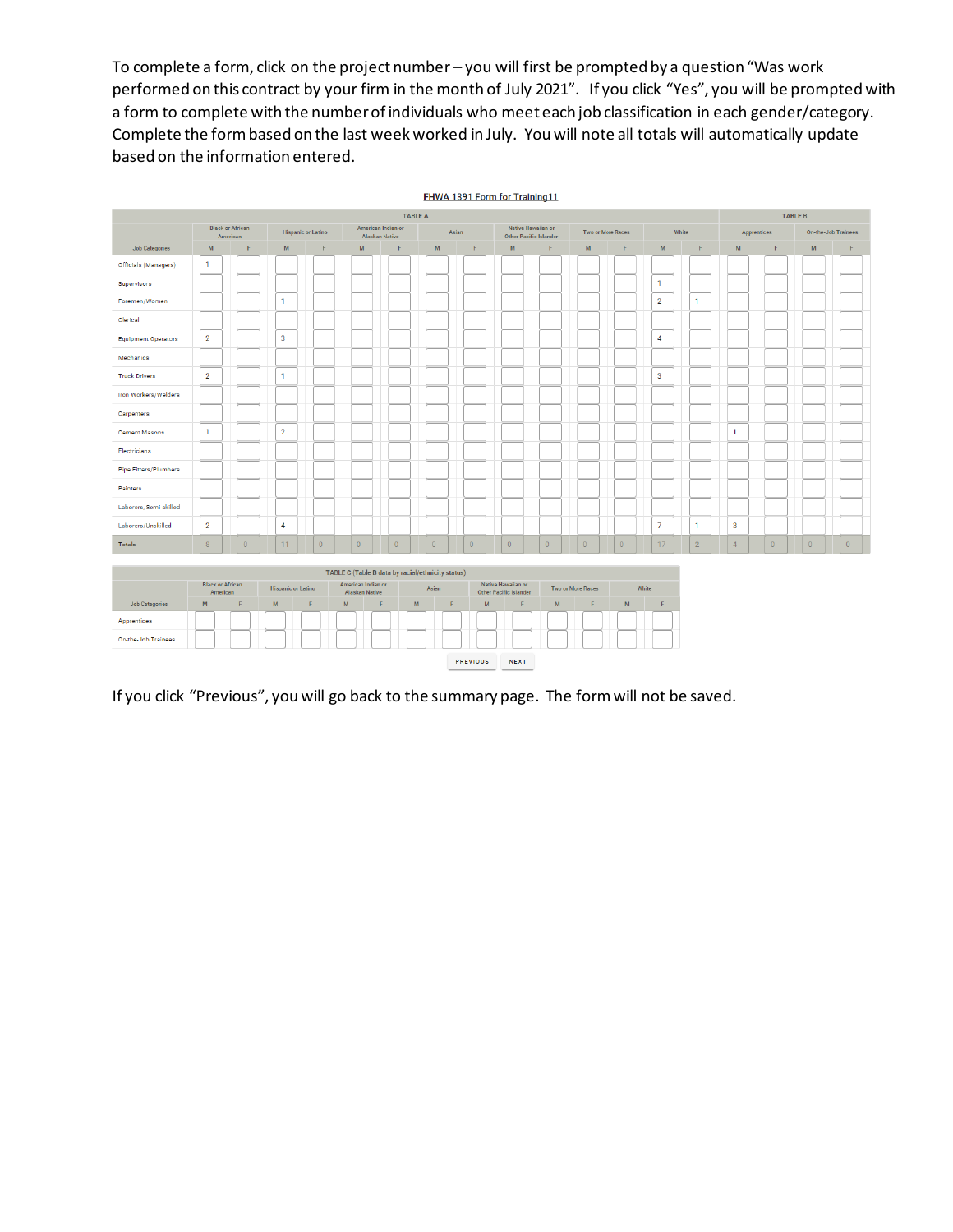To complete a form, click on the project number – you will first be prompted by a question "Was work performed on this contract by your firm in the month of July 2021". If you click "Yes", you will be prompted with a form to complete with the number of individuals who meet each job classification in each gender/category. Complete the form based on the last week worked in July. You will note all totals will automatically update based on the information entered.



NEXT PREVIOUS

If you click "Previous", you will go back to the summary page. The form will not be saved.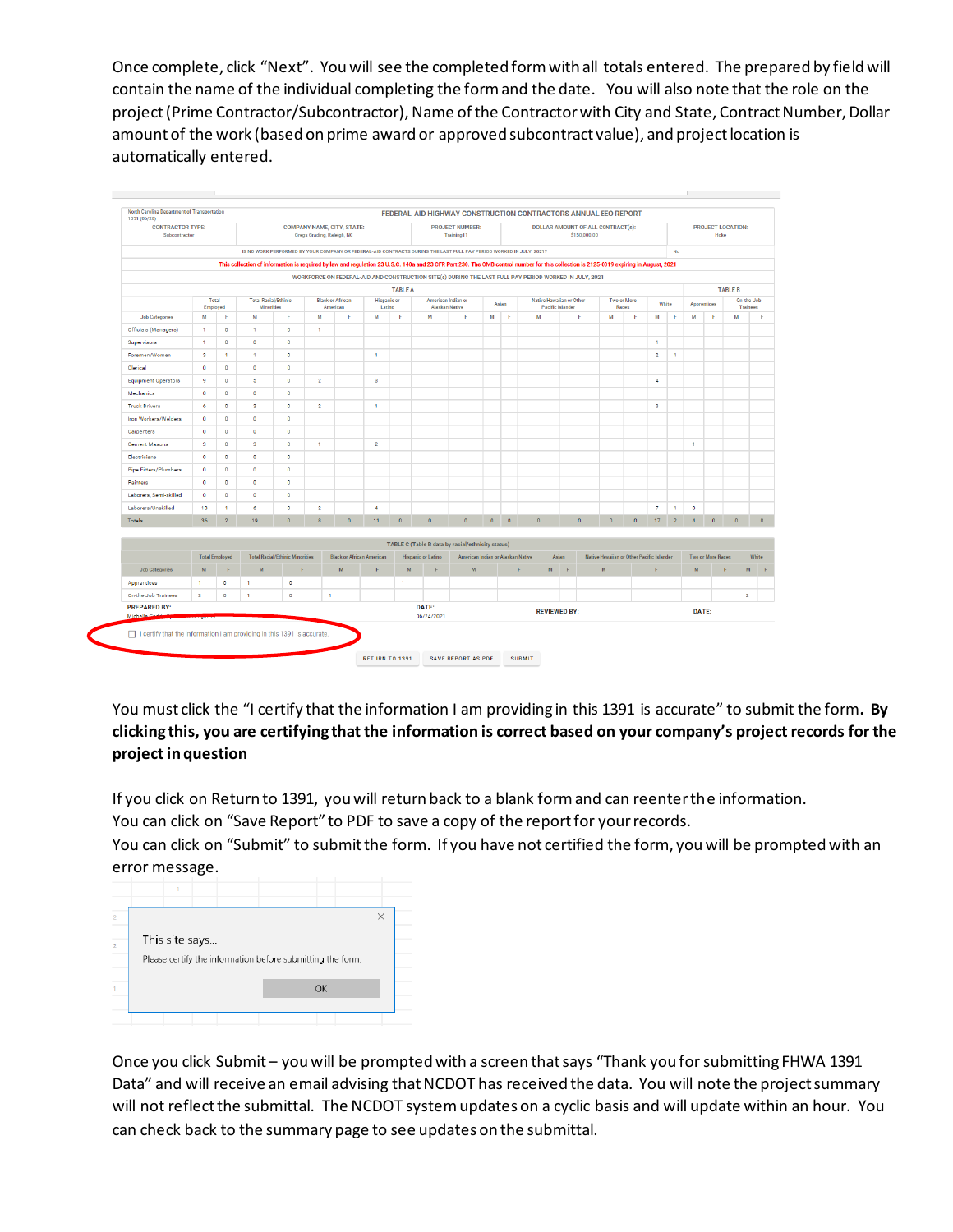Once complete, click "Next". You will see the completed form with all totals entered. The prepared by field will contain the name of the individual completing the form and the date. You will also note that the role on the project (Prime Contractor/Subcontractor), Name of the Contractor with City and State, Contract Number, Dollar amount of the work (based on prime award or approved subcontract value), and project location is automatically entered.



You must click the "I certify that the information I am providing in this 1391 is accurate" to submit the form**. By clicking this, you are certifying that the information is correct based on your company's project records for the project in question**

If you click on Return to 1391, you will return back to a blank form and can reenter the information.

You can click on "Save Report" to PDF to save a copy of the report for your records.

You can click on "Submit" to submit the form. If you have not certified the form, you will be prompted with an error message.



Once you click Submit – you will be prompted with a screen that says "Thank you for submitting FHWA 1391 Data" and will receive an email advising that NCDOT has received the data. You will note the project summary will not reflect the submittal. The NCDOT system updates on a cyclic basis and will update within an hour. You can check back to the summary page to see updates on the submittal.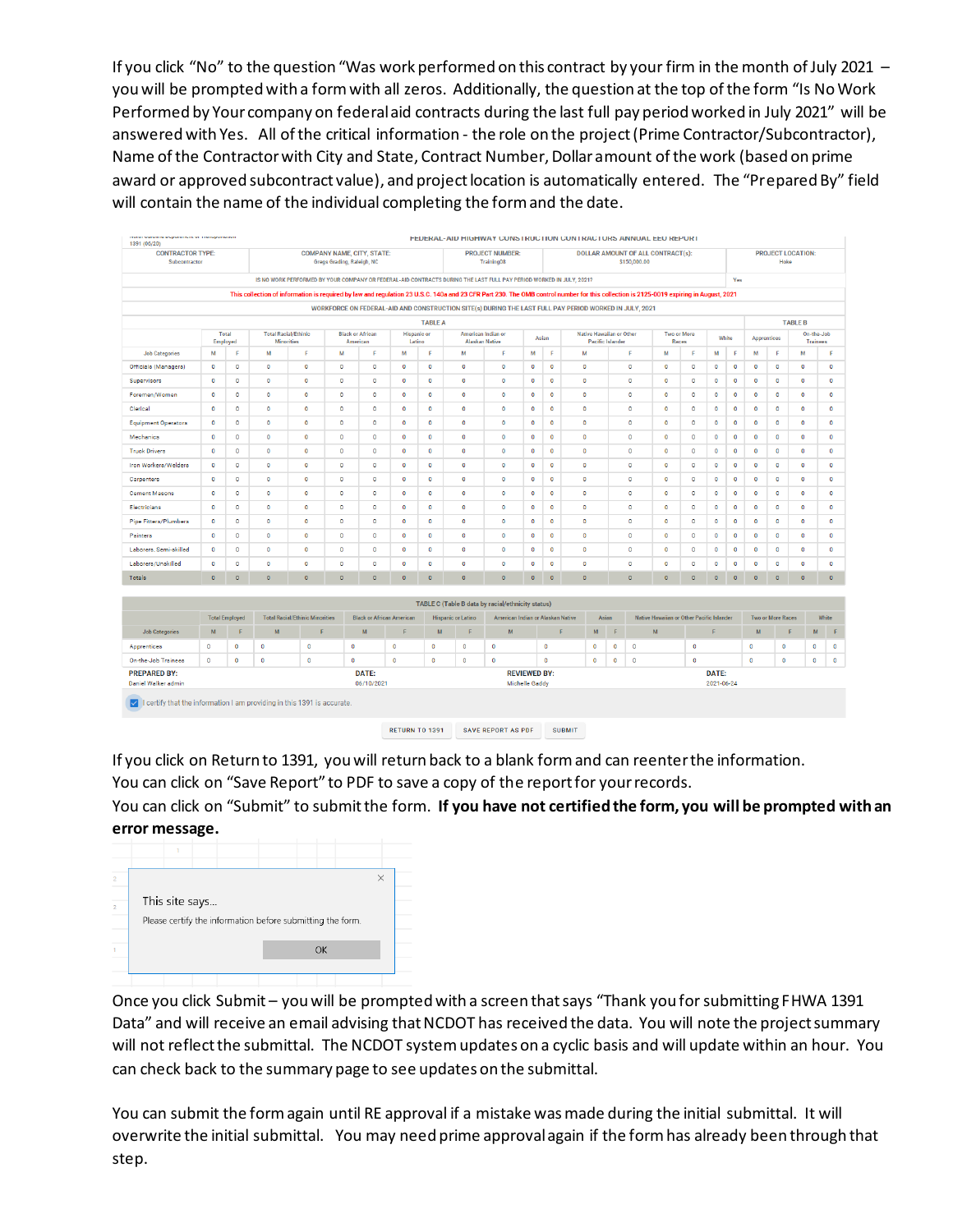If you click "No" to the question "Was work performed on this contract by your firm in the month of July 2021 – you will be prompted with a form with all zeros. Additionally, the question at the top of the form "Is No Work Performed by Your company on federal aid contracts during the last full pay period worked in July 2021" will be answered with Yes. All of the critical information - the role on the project (Prime Contractor/Subcontractor), Name of the Contractor with City and State, Contract Number, Dollar amount of the work (based on prime award or approved subcontract value), and project location is automatically entered. The "Prepared By" field will contain the name of the individual completing the form and the date.

| concert was a more acaptar accessor and commission and commis-<br>1391 (06/20) |                   |                                      |                                                                                                                                                                                       |                                             |              |                                       |                              |                |                                             | FEDERAL-AID HIUHWAT UUNSTRUUTIUN UUNTRAUTURS ANNUAL EEU REPURT                                         |                                       |           |           |                                                     |           |           |                                                |              |                     |                |                    |                          |             |                               |  |  |
|--------------------------------------------------------------------------------|-------------------|--------------------------------------|---------------------------------------------------------------------------------------------------------------------------------------------------------------------------------------|---------------------------------------------|--------------|---------------------------------------|------------------------------|----------------|---------------------------------------------|--------------------------------------------------------------------------------------------------------|---------------------------------------|-----------|-----------|-----------------------------------------------------|-----------|-----------|------------------------------------------------|--------------|---------------------|----------------|--------------------|--------------------------|-------------|-------------------------------|--|--|
| <b>CONTRACTOR TYPE:</b><br>Subcontractor                                       |                   |                                      | <b>COMPANY NAME, CITY, STATE:</b><br><b>PROJECT NUMBER:</b><br><b>DOLLAR AMOUNT OF ALL CONTRACT(s):</b><br>Gregs Grading, Raleigh, NC<br>Training08<br>\$150,000.00                   |                                             |              |                                       |                              |                |                                             |                                                                                                        |                                       |           | Hoke      | <b>PROJECT LOCATION:</b>                            |           |           |                                                |              |                     |                |                    |                          |             |                               |  |  |
|                                                                                |                   |                                      | IS NO WORK PERFORMED BY YOUR COMPANY OR FEDERAL-AID CONTRACTS DURING THE LAST FULL PAY PERIOD WORKED IN JULY, 2021?<br>Yes                                                            |                                             |              |                                       |                              |                |                                             |                                                                                                        |                                       |           |           |                                                     |           |           |                                                |              |                     |                |                    |                          |             |                               |  |  |
|                                                                                |                   |                                      | This collection of information is required by law and regulation 23 U.S.C. 140a and 23 CFR Part 230. The OMB control number for this collection is 2125-0019 expiring in August, 2021 |                                             |              |                                       |                              |                |                                             |                                                                                                        |                                       |           |           |                                                     |           |           |                                                |              |                     |                |                    |                          |             |                               |  |  |
|                                                                                |                   |                                      |                                                                                                                                                                                       |                                             |              |                                       |                              |                |                                             | WORKFORCE ON FEDERAL-AID AND CONSTRUCTION SITE(s) DURING THE LAST FULL PAY PERIOD WORKED IN JULY, 2021 |                                       |           |           |                                                     |           |           |                                                |              |                     |                |                    |                          |             |                               |  |  |
|                                                                                |                   |                                      |                                                                                                                                                                                       |                                             |              |                                       |                              | <b>TABLE A</b> |                                             |                                                                                                        |                                       |           |           |                                                     |           |           |                                                |              |                     | <b>TABLE B</b> |                    |                          |             |                               |  |  |
|                                                                                | Total<br>Employed |                                      | <b>Total Racial/Ethinic</b><br><b>Minorities</b>                                                                                                                                      |                                             |              | <b>Black or African</b><br>American   | <b>Hispanic or</b><br>Latino |                | American Indian or<br><b>Alaskan Native</b> |                                                                                                        |                                       | Asian     |           | <b>Native Hawaiian or Other</b><br>Pacific Islander |           |           | <b>Two or More</b>                             | Races        |                     | White          | <b>Apprentices</b> |                          |             | On-the-Job<br><b>Trainees</b> |  |  |
| <b>Job Categories</b>                                                          | M                 | F                                    | M                                                                                                                                                                                     | F                                           | M            | F                                     | м                            | F              | M                                           | F                                                                                                      | M                                     | F         | M         |                                                     |           | F         | M                                              | F            | M                   | F              | М                  | F                        | м           | F                             |  |  |
| Officials (Managers)                                                           | $\bullet$         | $\bullet$                            | $\bullet$                                                                                                                                                                             | $\bullet$                                   | $\bf{0}$     | $\bullet$                             | $\bullet$                    | $\bullet$      | $\bullet$                                   | $\bullet$                                                                                              | $\bullet$                             | $\bullet$ | $\bullet$ |                                                     |           | $\bullet$ | $\bullet$                                      | $\bullet$    | $\bullet$           | $\bullet$      | $\circ$            | $\circ$                  | $\bullet$   | $\bullet$                     |  |  |
| Supervisors                                                                    | $\bullet$         | $\bullet$                            | $\bullet$                                                                                                                                                                             | ٥                                           | 0            | $\bullet$                             | $\bullet$                    | $\bullet$      | O                                           | $\circ$                                                                                                | $\circ$                               | $\bullet$ | 0         |                                                     |           | $\bullet$ | $\mathbf 0$                                    | 0            | $\bullet$           | 0              | $\circ$            | 0                        | $\bullet$   | $\bullet$                     |  |  |
| Foremen/Women                                                                  | $\bullet$         | $\bullet$                            | $\bullet$                                                                                                                                                                             | $\mathbf 0$                                 | o            | $\bullet$                             | $\bullet$                    | $\bullet$      | $\bullet$                                   | $\bullet$                                                                                              | $\bullet$                             | $\bullet$ | $\bullet$ |                                                     |           | $\bullet$ | $\bullet$                                      | 0            | $\bullet$           | $\circ$        | $\mathbf 0$        | $\bullet$                | $\bullet$   | $\bullet$                     |  |  |
| Clerical                                                                       | $\circ$           | $\circ$                              | $\bullet$                                                                                                                                                                             | $\circ$                                     | $\circ$      | $\circ$                               | $\bullet$                    | $\bullet$      | $\circ$                                     | $\circ$                                                                                                | $\circ$                               | $\circ$   | $\bullet$ |                                                     |           | $\circ$   | $\circ$                                        | $\bullet$    | $\bullet$           | $\bullet$      | $\bullet$          | $\circ$                  | $\circ$     | $\circ$                       |  |  |
| <b>Equipment Operators</b>                                                     | $\circ$           | $\bullet$                            | $\bullet$                                                                                                                                                                             | $\bullet$                                   | $\mathbf 0$  | $\circ$                               | $\bullet$                    | $\circ$        | $\circ$                                     | $\bullet$                                                                                              | $\circ$                               | $\circ$   | 0         |                                                     |           | $\circ$   | $\bullet$                                      | $\bullet$    | $\bullet$           | $\circ$        | $\circ$            | $\circ$                  | $\circ$     | $\circ$                       |  |  |
| Mechanics                                                                      | $\circ$           | $\Omega$                             | $\bullet$                                                                                                                                                                             | $\circ$                                     | $\mathbf{0}$ | $\circ$                               | $\bullet$                    | $\Omega$       | $\mathbf{0}$                                | $\mathbf{0}$                                                                                           | $\circ$                               | $\circ$   | $\bullet$ |                                                     |           | $\Omega$  | $\circ$                                        | $\Omega$     | $\bullet$           | $\circ$        | $\circ$            | $\circ$                  | $\circ$     | $\circ$                       |  |  |
| <b>Truck Drivers</b>                                                           | $\circ$           | $\circ$                              | $\bullet$                                                                                                                                                                             | $\circ$                                     | $\circ$      | $\circ$                               | $\bullet$                    | $\circ$        | $\circ$                                     | $\circ$                                                                                                | $\circ$                               | $\circ$   | $\bullet$ |                                                     |           | $\circ$   | $\circ$                                        | $\bullet$    | $\circ$             | $\circ$        | $\circ$            | $\circ$                  | $\circ$     | $\circ$                       |  |  |
| Iron Workers/Welders                                                           | $\circ$           | $\bullet$                            | $\bullet$                                                                                                                                                                             | $\circ$                                     | $\circ$      | $\circ$                               | $\overline{0}$               | $\bullet$      | $\Omega$                                    | $\circ$                                                                                                | $\circ$                               | $\circ$   | $\bullet$ |                                                     |           | $\circ$   | $\circ$                                        | $\bullet$    | $\bullet$           | $\circ$        | $\circ$            | $\circ$                  | $\circ$     | $\circ$                       |  |  |
| Carpenters                                                                     | $\circ$           | $\bf{0}$                             | $\bullet$                                                                                                                                                                             | 0                                           | $\mathbf 0$  | $\circ$                               | $\bullet$                    | $\bullet$      | $\mathbf 0$                                 | $\circ$                                                                                                | $\circ$                               | $\circ$   | $\bullet$ |                                                     |           | $\circ$   | $\circ$                                        | 0            | $\bullet$           | 0              | $\circ$            | 0                        | 0           | $\circ$                       |  |  |
| <b>Cement Masons</b>                                                           | $\bullet$         | $\bullet$                            | $\bullet$                                                                                                                                                                             | $\bullet$                                   | 0            | $\bullet$                             | $\bullet$                    | $\bullet$      | $\bullet$                                   | $\bullet$                                                                                              | $\bullet$                             | $\bullet$ | 0         |                                                     |           | $\bullet$ | $\bullet$                                      | 0            | $\bullet$           | 0              | $\circ$            | $\circ$                  | $\bullet$   | $\bullet$                     |  |  |
| Electricians                                                                   | $\bullet$         | $\bullet$                            | $\bullet$                                                                                                                                                                             | 0                                           | 0            | $\bullet$                             | $\bullet$                    | $\bullet$      | $\bullet$                                   | $\circ$                                                                                                | $\circ$                               | $\bullet$ | 0         |                                                     |           | $\bf{0}$  | $\mathbf 0$                                    | 0            | $\bullet$           | 0              | $\circ$            | 0                        | $\bullet$   | $\bullet$                     |  |  |
| <b>Pipe Fitters/Plumbers</b>                                                   | $\bullet$         | $\bullet$                            | $\bullet$                                                                                                                                                                             | $\mathbf 0$                                 | $\mathbf 0$  | $\circ$                               | $\bullet$                    | $\bullet$      | $\bullet$                                   | $\bullet$                                                                                              | $\circ$                               | $\circ$   | $\bullet$ |                                                     |           | $\bullet$ | $\bullet$                                      | $\bullet$    | $\bullet$           | $\mathbf 0$    | $\mathbf 0$        | $\bullet$                | $\bullet$   | $\circ$                       |  |  |
| Painters                                                                       | $\circ$           | $\bullet$                            | $\bullet$                                                                                                                                                                             | ٥                                           | $\circ$      | $\circ$                               | $\bullet$                    | $\bullet$      | $\circ$                                     | $\circ$                                                                                                | $\circ$                               | $\circ$   | ٥         |                                                     |           | $\circ$   | $\bullet$                                      | $\bullet$    | $\bullet$           | ٥              | $\circ$            | $\circ$                  | $\circ$     | $\circ$                       |  |  |
| Laborers, Semi-skilled                                                         | $\circ$           | $\bullet$                            | $\bullet$                                                                                                                                                                             | ۰                                           | $\circ$      | $\circ$                               | $\bullet$                    | $\circ$        | $\circ$                                     | $\bullet$                                                                                              | $\bullet$                             | $\circ$   | 0         |                                                     |           | $\bullet$ | $\bullet$                                      | $\bullet$    | $\bullet$           | $\circ$        | $\circ$            | $\circ$                  | $\circ$     | $\circ$                       |  |  |
| Laborers/Unskilled                                                             | $\circ$           | $\bullet$                            | $\bullet$                                                                                                                                                                             | $\circ$                                     | $\mathbf{0}$ | $\circ$                               | $\bullet$                    | $\circ$        | $\circ$                                     | $\circ$                                                                                                | $\circ$                               | $\bullet$ | $\theta$  |                                                     |           | $\circ$   | $\circ$                                        | $\mathbf{0}$ | $\circ$             | $\circ$        | $\circ$            | $\circ$                  | $\circ$     | $\circ$                       |  |  |
| Totals                                                                         | $\bullet$         | $\bullet$                            | $\bullet$                                                                                                                                                                             | $\circ$                                     | $\bullet$    | $\circ$                               | $\bullet$                    | $\circ$        | $\circ$                                     | $\circ$                                                                                                | $\bullet$                             | $\circ$   | $\circ$   |                                                     |           | $\circ$   | $\circ$                                        | $\bullet$    | $\circ$             | $\circ$        | $\circ$            | $\circ$                  | $\circ$     | $\bullet$                     |  |  |
|                                                                                |                   |                                      |                                                                                                                                                                                       |                                             |              |                                       |                              |                |                                             |                                                                                                        |                                       |           |           |                                                     |           |           |                                                |              |                     |                |                    |                          |             |                               |  |  |
|                                                                                |                   |                                      |                                                                                                                                                                                       |                                             |              |                                       |                              |                |                                             | TABLE C (Table B data by racial/ethnicity status)                                                      |                                       |           |           |                                                     |           |           |                                                |              |                     |                |                    |                          |             |                               |  |  |
| <b>Job Categories</b>                                                          | $\mathbf{M}$      | <b>Total Employed</b><br>$\mathsf F$ | M                                                                                                                                                                                     | <b>Total Racial/Ethinic Minorities</b><br>F |              | <b>Black or African American</b><br>M | F                            | ${\sf M}$      | <b>Hispanic or Latino</b><br>F              | American Indian or Alaskan Native<br>${\bf M}$                                                         |                                       | F         |           | Asian<br>M                                          | F         |           | Native Hawaiian or Other Pacific Islander<br>M |              | F.                  |                | M                  | <b>Two or More Races</b> | $\mathsf F$ | White<br>M<br>F               |  |  |
| Apprentices                                                                    | $\circ$           | $\circ$                              | $\bullet$                                                                                                                                                                             | $\mathbf 0$                                 |              | $\circ$                               | $\bullet$                    | $\bullet$      | $\circ$                                     | $\mathbf 0$                                                                                            |                                       | $\bullet$ |           | 0                                                   | $\circ$   | $\circ$   |                                                | $\bullet$    |                     |                | $\circ$            | 0                        |             | $\bullet$<br>$\circ$          |  |  |
| On-the-Job Trainees                                                            | $\bullet$         | $\bullet$                            | $\bullet$                                                                                                                                                                             | $\circ$                                     |              | $\circ$                               | $\bullet$                    | $\bullet$      | $\circ$                                     | $\bullet$                                                                                              |                                       | $\bullet$ |           | $\bullet$                                           | $\bullet$ | $\circ$   |                                                | $\bullet$    |                     |                | $\circ$            | $\mathbf 0$              |             | $\bullet$<br>$\bullet$        |  |  |
| <b>PREPARED BY:</b><br>Daniel Walker admin                                     |                   |                                      |                                                                                                                                                                                       |                                             |              | DATE:<br>06/10/2021                   |                              |                |                                             |                                                                                                        | <b>REVIEWED BY:</b><br>Michelle Gaddy |           |           |                                                     |           |           |                                                |              | DATE:<br>2021-06-24 |                |                    |                          |             |                               |  |  |
| $\vee$ I certify that the information I am providing in this 1391 is accurate. |                   |                                      |                                                                                                                                                                                       |                                             |              |                                       |                              |                |                                             |                                                                                                        |                                       |           |           |                                                     |           |           |                                                |              |                     |                |                    |                          |             |                               |  |  |

RETURN TO 1391 SAVE REPORT AS PDF SUBMIT

If you click on Return to 1391, you will return back to a blank form and can reenter the information.

You can click on "Save Report" to PDF to save a copy of the report for your records.

You can click on "Submit" to submit the form. **If you have not certified the form, you will be prompted with an error message.** 

|                | 1              |                                                            |  |           |          |  |
|----------------|----------------|------------------------------------------------------------|--|-----------|----------|--|
| 2              |                |                                                            |  |           | $\times$ |  |
|                | This site says |                                                            |  |           |          |  |
| $\overline{2}$ |                | Please certify the information before submitting the form. |  |           |          |  |
|                |                |                                                            |  |           |          |  |
|                |                |                                                            |  | <b>OK</b> |          |  |
|                |                |                                                            |  |           |          |  |

Once you click Submit – you will be prompted with a screen that says "Thank you for submitting FHWA 1391 Data" and will receive an email advising that NCDOT has received the data. You will note the project summary will not reflect the submittal. The NCDOT system updates on a cyclic basis and will update within an hour. You can check back to the summary page to see updates on the submittal.

You can submit the form again until RE approval if a mistake was made during the initial submittal. It will overwrite the initial submittal. You may need prime approval again if the form has already been through that step.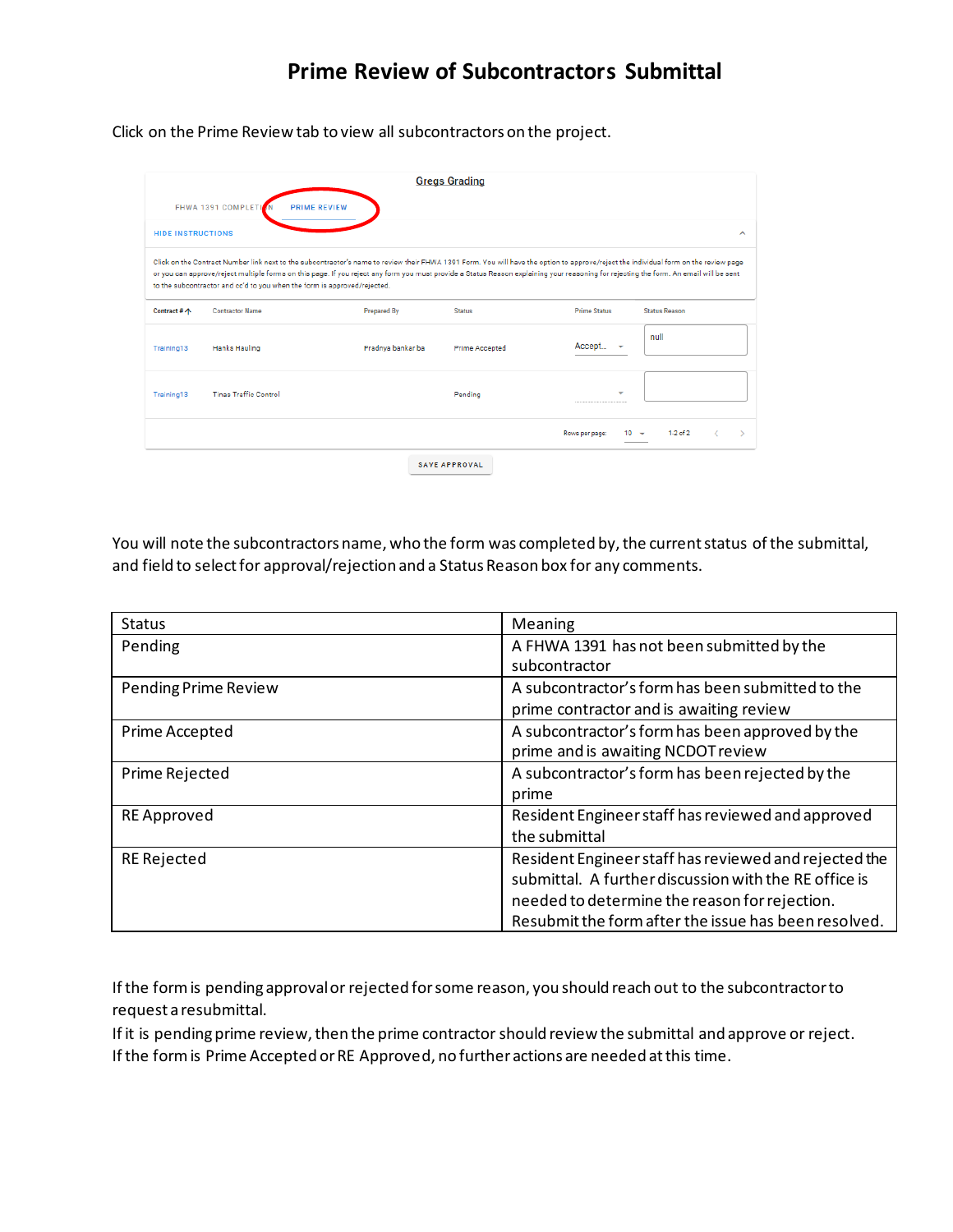## **Prime Review of Subcontractors Submittal**

Click on the Prime Review tab to view all subcontractors on the project.

|                          |                              |                                                                                                                                                                                                                                                                                                                                                                                                                                                            | <b>Gregs Grading</b>  |                     |                 |                      |   |
|--------------------------|------------------------------|------------------------------------------------------------------------------------------------------------------------------------------------------------------------------------------------------------------------------------------------------------------------------------------------------------------------------------------------------------------------------------------------------------------------------------------------------------|-----------------------|---------------------|-----------------|----------------------|---|
|                          | FHWA 1391 COMPLETI           | <b>PRIME REVIEW</b>                                                                                                                                                                                                                                                                                                                                                                                                                                        |                       |                     |                 |                      |   |
| <b>HIDE INSTRUCTIONS</b> |                              |                                                                                                                                                                                                                                                                                                                                                                                                                                                            |                       |                     |                 |                      | ∼ |
|                          |                              | Click on the Contract Number link next to the subcontractor's name to review their FHWA 1391 Form. You will have the option to approve/reject the individual form on the review page<br>or you can approve/reject multiple forms on this page. If you reject any form you must provide a Status Reason explaining your reasoning for rejecting the form. An email will be sent<br>to the subcontractor and cc'd to you when the form is approved/rejected. |                       |                     |                 |                      |   |
| Contract # 个             | <b>Contractor Name</b>       | <b>Prepared By</b>                                                                                                                                                                                                                                                                                                                                                                                                                                         | <b>Status</b>         | <b>Prime Status</b> |                 | <b>Status Reason</b> |   |
| Training13               | Hanks Hauling                | Pradnya bankar ba                                                                                                                                                                                                                                                                                                                                                                                                                                          | <b>Prime Accepted</b> | Accept              |                 | null                 |   |
| Training13               | <b>Tinas Traffic Control</b> |                                                                                                                                                                                                                                                                                                                                                                                                                                                            | Pending               |                     |                 |                      |   |
|                          |                              |                                                                                                                                                                                                                                                                                                                                                                                                                                                            |                       | Rows per page:      | 10 <del>-</del> | $1-2$ of 2           |   |
|                          |                              |                                                                                                                                                                                                                                                                                                                                                                                                                                                            | <b>SAVE APPROVAL</b>  |                     |                 |                      |   |

You will note the subcontractors name, who the form was completed by, the current status of the submittal, and field to select for approval/rejection and a Status Reason box for any comments.

| <b>Status</b>               | Meaning                                               |
|-----------------------------|-------------------------------------------------------|
| Pending                     | A FHWA 1391 has not been submitted by the             |
|                             | subcontractor                                         |
| <b>Pending Prime Review</b> | A subcontractor's form has been submitted to the      |
|                             | prime contractor and is awaiting review               |
| Prime Accepted              | A subcontractor's form has been approved by the       |
|                             | prime and is awaiting NCDOT review                    |
| Prime Rejected              | A subcontractor's form has been rejected by the       |
|                             | prime                                                 |
| <b>RE</b> Approved          | Resident Engineer staff has reviewed and approved     |
|                             | the submittal                                         |
| <b>RE Rejected</b>          | Resident Engineer staff has reviewed and rejected the |
|                             | submittal. A further discussion with the RE office is |
|                             | needed to determine the reason for rejection.         |
|                             | Resubmit the form after the issue has been resolved.  |

If the form is pending approval or rejected for some reason, you should reach out to the subcontractor to request a resubmittal.

If it is pending prime review, then the prime contractor should review the submittal and approve or reject. If the form is Prime Accepted or RE Approved, no further actions are needed at this time.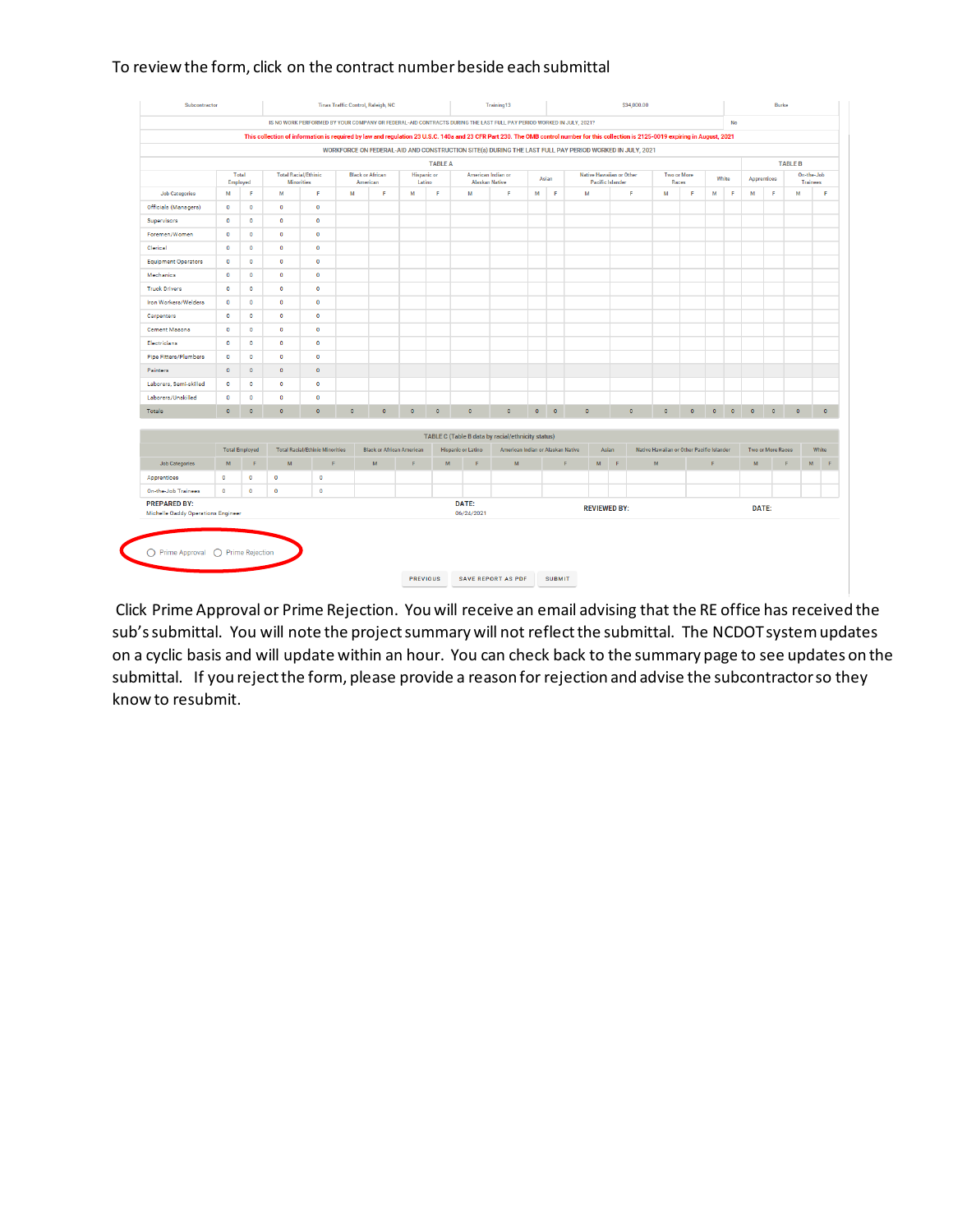#### To review the form, click on the contract number beside each submittal

|                                    |                   |                       |                                                                                                                                                                                       |                                        |         |                                     |                              |                | IS NO WORK PERFORMED BY YOUR COMPANY OR FEDERAL-AID CONTRACTS DURING THE LAST FULL PAY PERIOD WORKED IN JULY, 2021? |                                                                                                        |           |           |           |       |                                                     |                                           |                             | <b>No</b> |           |                      |                          |                |                               |  |  |
|------------------------------------|-------------------|-----------------------|---------------------------------------------------------------------------------------------------------------------------------------------------------------------------------------|----------------------------------------|---------|-------------------------------------|------------------------------|----------------|---------------------------------------------------------------------------------------------------------------------|--------------------------------------------------------------------------------------------------------|-----------|-----------|-----------|-------|-----------------------------------------------------|-------------------------------------------|-----------------------------|-----------|-----------|----------------------|--------------------------|----------------|-------------------------------|--|--|
|                                    |                   |                       |                                                                                                                                                                                       |                                        |         |                                     |                              |                |                                                                                                                     |                                                                                                        |           |           |           |       |                                                     |                                           |                             |           |           |                      |                          |                |                               |  |  |
|                                    |                   |                       | This collection of information is required by law and regulation 23 U.S.C. 140a and 23 CFR Part 230. The OMB control number for this collection is 2125-0019 expiring in August, 2021 |                                        |         |                                     |                              |                |                                                                                                                     |                                                                                                        |           |           |           |       |                                                     |                                           |                             |           |           |                      |                          |                |                               |  |  |
|                                    |                   |                       |                                                                                                                                                                                       |                                        |         |                                     |                              |                |                                                                                                                     | WORKFORCE ON FEDERAL-AID AND CONSTRUCTION SITE(s) DURING THE LAST FULL PAY PERIOD WORKED IN JULY, 2021 |           |           |           |       |                                                     |                                           |                             |           |           |                      |                          |                |                               |  |  |
|                                    |                   |                       |                                                                                                                                                                                       |                                        |         |                                     |                              | <b>TABLE A</b> |                                                                                                                     |                                                                                                        |           |           |           |       |                                                     |                                           |                             |           |           |                      |                          | <b>TABLE B</b> |                               |  |  |
|                                    | Total<br>Employed |                       | <b>Total Racial/Ethinic</b><br><b>Minorities</b>                                                                                                                                      |                                        |         | <b>Black or African</b><br>American | <b>Hispanic</b> or<br>Latino |                | American Indian or<br><b>Alaskan Native</b>                                                                         |                                                                                                        |           | Asian     |           |       | Native Hawaiian or Other<br><b>Pacific Islander</b> |                                           | <b>Two or More</b><br>Races |           | White     |                      | Apprentices              |                | On-the-Job<br><b>Trainees</b> |  |  |
| <b>Job Categories</b>              | M                 | F                     | M                                                                                                                                                                                     | F                                      | M       | F                                   | M                            | F              | M                                                                                                                   | F.                                                                                                     | M         | F         | M         |       | F                                                   | M                                         | F                           |           | M         | F<br>M               | F                        | M              |                               |  |  |
| Officials (Managers)               | $\bullet$         | $\bullet$             | $\Omega$                                                                                                                                                                              | $\bullet$                              |         |                                     |                              |                |                                                                                                                     |                                                                                                        |           |           |           |       |                                                     |                                           |                             |           |           |                      |                          |                |                               |  |  |
| Supervisors                        | $\bullet$         | $\bullet$             | $\circ$                                                                                                                                                                               | $\circ$                                |         |                                     |                              |                |                                                                                                                     |                                                                                                        |           |           |           |       |                                                     |                                           |                             |           |           |                      |                          |                |                               |  |  |
| Foremen/Women                      | $\bullet$         | $\circ$               | $\bullet$                                                                                                                                                                             | $\circ$                                |         |                                     |                              |                |                                                                                                                     |                                                                                                        |           |           |           |       |                                                     |                                           |                             |           |           |                      |                          |                |                               |  |  |
| Clerical                           | $\bullet$         | $\bullet$             | $\bullet$                                                                                                                                                                             | $\bullet$                              |         |                                     |                              |                |                                                                                                                     |                                                                                                        |           |           |           |       |                                                     |                                           |                             |           |           |                      |                          |                |                               |  |  |
| <b>Equipment Operators</b>         | $\bullet$         | $\circ$               | $\bullet$                                                                                                                                                                             | $\circ$                                |         |                                     |                              |                |                                                                                                                     |                                                                                                        |           |           |           |       |                                                     |                                           |                             |           |           |                      |                          |                |                               |  |  |
| Mechanics                          | $\bullet$         | $\circ$               | $\circ$                                                                                                                                                                               | $\circ$                                |         |                                     |                              |                |                                                                                                                     |                                                                                                        |           |           |           |       |                                                     |                                           |                             |           |           |                      |                          |                |                               |  |  |
| <b>Truck Drivers</b>               | $\bullet$         | $\bullet$             | $\bullet$                                                                                                                                                                             | $\bullet$                              |         |                                     |                              |                |                                                                                                                     |                                                                                                        |           |           |           |       |                                                     |                                           |                             |           |           |                      |                          |                |                               |  |  |
| Iron Workers/Welders               | $\circ$           | $\bullet$             | $\circ$                                                                                                                                                                               | $\circ$                                |         |                                     |                              |                |                                                                                                                     |                                                                                                        |           |           |           |       |                                                     |                                           |                             |           |           |                      |                          |                |                               |  |  |
| Carpenters                         | $\Omega$          | $\mathbf{0}$          | $\bullet$                                                                                                                                                                             | $\circ$                                |         |                                     |                              |                |                                                                                                                     |                                                                                                        |           |           |           |       |                                                     |                                           |                             |           |           |                      |                          |                |                               |  |  |
| <b>Cement Masons</b>               | $\bullet$         | $\bullet$             | $\bullet$                                                                                                                                                                             | $\bullet$                              |         |                                     |                              |                |                                                                                                                     |                                                                                                        |           |           |           |       |                                                     |                                           |                             |           |           |                      |                          |                |                               |  |  |
| Electricians                       | $\bullet$         | $\bullet$             | $\bullet$                                                                                                                                                                             | $\circ$                                |         |                                     |                              |                |                                                                                                                     |                                                                                                        |           |           |           |       |                                                     |                                           |                             |           |           |                      |                          |                |                               |  |  |
| <b>Pipe Fitters/Plumbers</b>       | $\bullet$         | $\circ$               | $\circ$                                                                                                                                                                               | $\circ$                                |         |                                     |                              |                |                                                                                                                     |                                                                                                        |           |           |           |       |                                                     |                                           |                             |           |           |                      |                          |                |                               |  |  |
| Painters                           | $\bullet$         | $\bullet$             | $\bullet$                                                                                                                                                                             | $\circ$                                |         |                                     |                              |                |                                                                                                                     |                                                                                                        |           |           |           |       |                                                     |                                           |                             |           |           |                      |                          |                |                               |  |  |
| Laborers, Semi-skilled             | $\bullet$         | $\bullet$             | $\bullet$                                                                                                                                                                             | $\circ$                                |         |                                     |                              |                |                                                                                                                     |                                                                                                        |           |           |           |       |                                                     |                                           |                             |           |           |                      |                          |                |                               |  |  |
| Laborers/Unskilled                 | $\bullet$         | $\circ$               | $\circ$                                                                                                                                                                               | $\circ$                                |         |                                     |                              |                |                                                                                                                     |                                                                                                        |           |           |           |       |                                                     |                                           |                             |           |           |                      |                          |                |                               |  |  |
| Totals                             | $\bullet$         | $\bullet$             | $\circ$                                                                                                                                                                               | $\circ$                                | $\circ$ | $\bullet$                           | $\mathbf 0$                  | $\bullet$      | $\circ$                                                                                                             | $\circ$                                                                                                | $\bullet$ | $\bullet$ | $\bullet$ |       | $\circ$                                             | $\mathbf 0$                               | $\bullet$                   |           | $\bullet$ | $\bullet$<br>$\circ$ | $\circ$                  | $\bullet$      |                               |  |  |
|                                    |                   |                       |                                                                                                                                                                                       |                                        |         |                                     |                              |                |                                                                                                                     |                                                                                                        |           |           |           |       |                                                     |                                           |                             |           |           |                      |                          |                |                               |  |  |
|                                    |                   |                       |                                                                                                                                                                                       |                                        |         |                                     |                              |                |                                                                                                                     | <b>TABLE C (Table B data by racial/ethnicity status)</b>                                               |           |           |           |       |                                                     |                                           |                             |           |           |                      |                          |                |                               |  |  |
|                                    |                   | <b>Total Employed</b> |                                                                                                                                                                                       | <b>Total Racial/Ethinic Minorities</b> |         | <b>Black or African American</b>    |                              |                | <b>Hispanic or Latino</b>                                                                                           | American Indian or Alaskan Native                                                                      |           |           |           | Asian |                                                     | Native Hawaiian or Other Pacific Islander |                             |           |           |                      | <b>Two or More Races</b> |                | White                         |  |  |
| <b>Job Categories</b>              | M                 | F.                    | M                                                                                                                                                                                     | F                                      |         | M                                   | F                            | M              | F                                                                                                                   | M                                                                                                      |           |           | F         | M     | F                                                   | M                                         |                             | <b>c</b>  |           | M                    |                          | F              | M                             |  |  |
| Apprentices                        | $\bullet$         | $\circ$               | $\circ$                                                                                                                                                                               | $\bullet$                              |         |                                     |                              |                |                                                                                                                     |                                                                                                        |           |           |           |       |                                                     |                                           |                             |           |           |                      |                          |                |                               |  |  |
| On-the-Job Trainees                | $\bullet$         | $\bullet$             | $\bullet$                                                                                                                                                                             | $\bullet$                              |         |                                     |                              |                |                                                                                                                     |                                                                                                        |           |           |           |       |                                                     |                                           |                             |           |           |                      |                          |                |                               |  |  |
| <b>PREPARED BY:</b>                |                   |                       |                                                                                                                                                                                       |                                        |         |                                     |                              |                | DATE:                                                                                                               |                                                                                                        |           |           |           |       | <b>REVIEWED BY:</b>                                 |                                           |                             |           |           |                      | DATE:                    |                |                               |  |  |
| Michelle Gaddy Operations Engineer |                   |                       |                                                                                                                                                                                       |                                        |         |                                     |                              |                | 06/24/2021                                                                                                          |                                                                                                        |           |           |           |       |                                                     |                                           |                             |           |           |                      |                          |                |                               |  |  |

Click Prime Approval or Prime Rejection. You will receive an email advising that the RE office has received the sub's submittal. You will note the project summary will not reflect the submittal. The NCDOT system updates on a cyclic basis and will update within an hour. You can check back to the summary page to see updates on the submittal. If you reject the form, please provide a reason for rejection and advise the subcontractor so they know to resubmit.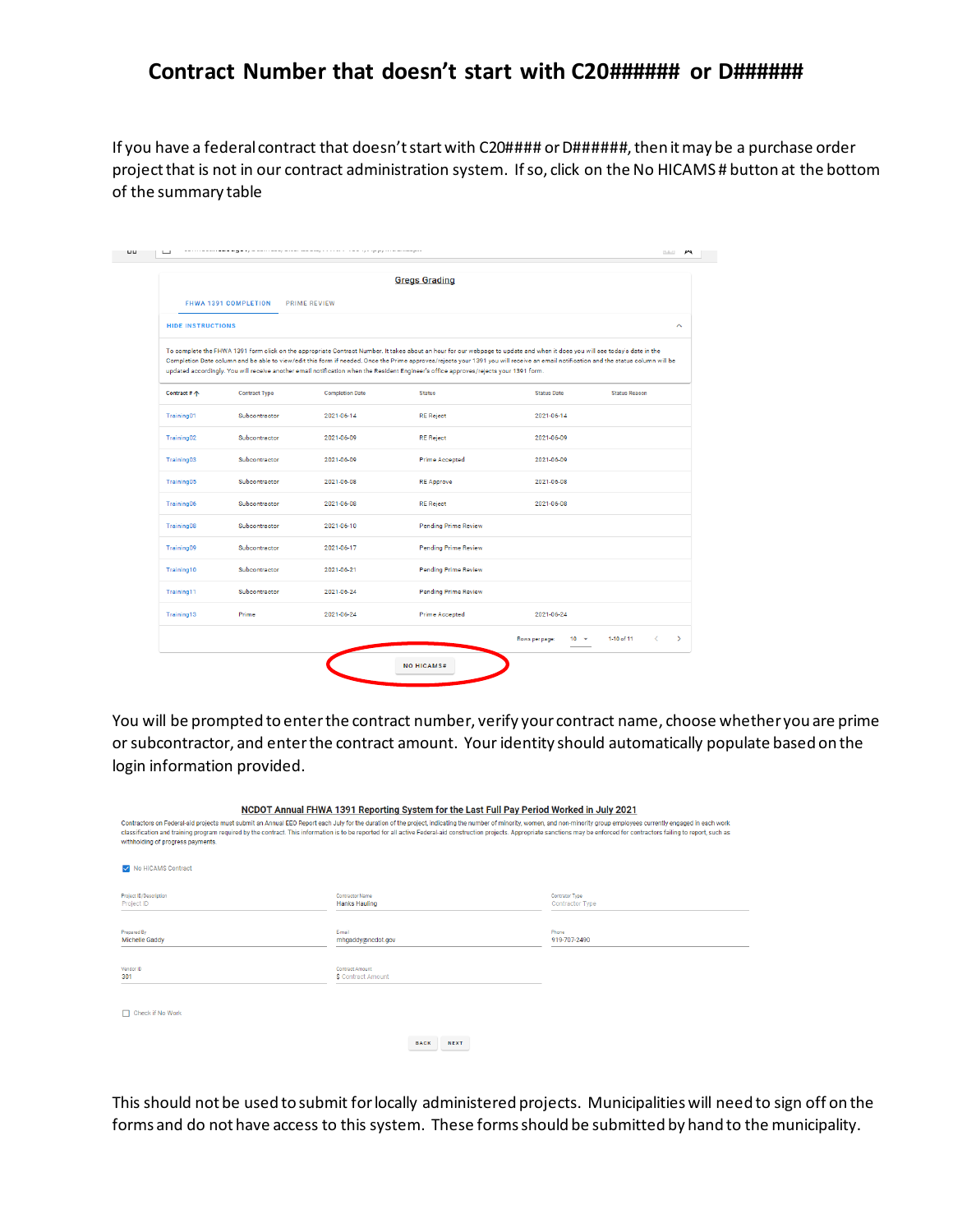### **Contract Number that doesn't start with C20###### or D######**

If you have a federal contract that doesn't start with C20#### or D######, then it may be a purchase order project that is not in our contract administration system. If so, click on the No HICAMS # button at the bottom of the summary table

|                          |                      |                        | <b>Gregs Grading</b>                                                                                                                                                                                                                                                                                                                                                                                                                                                                                        |                            |                                  |
|--------------------------|----------------------|------------------------|-------------------------------------------------------------------------------------------------------------------------------------------------------------------------------------------------------------------------------------------------------------------------------------------------------------------------------------------------------------------------------------------------------------------------------------------------------------------------------------------------------------|----------------------------|----------------------------------|
|                          | FHWA 1391 COMPLETION | <b>PRIME REVIEW</b>    |                                                                                                                                                                                                                                                                                                                                                                                                                                                                                                             |                            |                                  |
| <b>HIDE INSTRUCTIONS</b> |                      |                        |                                                                                                                                                                                                                                                                                                                                                                                                                                                                                                             |                            | $\hat{\phantom{a}}$              |
|                          |                      |                        | To complete the FHWA 1391 form click on the appropriate Contract Number. It takes about an hour for our webpage to update and when it does you will see today's date in the<br>Completion Date column and be able to view/edit this form if needed. Once the Prime approves/rejects your 1391 you will receive an email notification and the status column will be<br>updated accordingly. You will receive another email notification when the Resident Engineer's office approves/rejects your 1391 form. |                            |                                  |
| Contract # 个             | <b>Contract Type</b> | <b>Completion Date</b> | <b>Status</b>                                                                                                                                                                                                                                                                                                                                                                                                                                                                                               | <b>Status Date</b>         | <b>Status Reason</b>             |
| Training01               | Subcontractor        | 2021-06-14             | <b>RE Reject</b>                                                                                                                                                                                                                                                                                                                                                                                                                                                                                            | 2021-06-14                 |                                  |
| Training02               | Subcontractor        | 2021-06-09             | <b>RE</b> Reject                                                                                                                                                                                                                                                                                                                                                                                                                                                                                            | 2021-06-09                 |                                  |
| Training03               | Subcontractor        | 2021-06-09             | <b>Prime Accepted</b>                                                                                                                                                                                                                                                                                                                                                                                                                                                                                       | 2021-06-09                 |                                  |
| Training05               | Subcontractor        | 2021-06-08             | <b>RE Approve</b>                                                                                                                                                                                                                                                                                                                                                                                                                                                                                           | 2021-06-08                 |                                  |
| Training06               | Subcontractor        | 2021-06-08             | <b>RE</b> Reject                                                                                                                                                                                                                                                                                                                                                                                                                                                                                            | 2021-06-08                 |                                  |
| Training08               | Subcontractor        | 2021-06-10             | <b>Pending Prime Review</b>                                                                                                                                                                                                                                                                                                                                                                                                                                                                                 |                            |                                  |
| Training09               | Subcontractor        | 2021-06-17             | <b>Pending Prime Review</b>                                                                                                                                                                                                                                                                                                                                                                                                                                                                                 |                            |                                  |
| Training10               | Subcontractor        | 2021-06-21             | <b>Pending Prime Review</b>                                                                                                                                                                                                                                                                                                                                                                                                                                                                                 |                            |                                  |
| Training11               | Subcontractor        | 2021-06-24             | <b>Pending Prime Review</b>                                                                                                                                                                                                                                                                                                                                                                                                                                                                                 |                            |                                  |
| Training13               | Prime                | 2021-06-24             | <b>Prime Accepted</b>                                                                                                                                                                                                                                                                                                                                                                                                                                                                                       | 2021-06-24                 |                                  |
|                          |                      |                        |                                                                                                                                                                                                                                                                                                                                                                                                                                                                                                             | Rows per page:<br>$10 - 7$ | 1-10 of 11<br>$\rightarrow$<br>← |

You will be prompted to enter the contract number, verify your contract name, choose whether you are prime or subcontractor, and enter the contract amount. Your identity should automatically populate based on the login information provided.

| withholding of progress payments.           | NCDOT Annual FHWA 1391 Reporting System for the Last Full Pay Period Worked in July 2021<br>Contractors on Federal-aid projects must submit an Annual EEO Report each July for the duration of the project, indicating the number of minority, women, and non-minority group employees currently engaged in each work<br>classification and training program required by the contract. This information is to be reported for all active Federal-aid construction projects. Appropriate sanctions may be enforced for contractors failing to report, su |                                          |
|---------------------------------------------|---------------------------------------------------------------------------------------------------------------------------------------------------------------------------------------------------------------------------------------------------------------------------------------------------------------------------------------------------------------------------------------------------------------------------------------------------------------------------------------------------------------------------------------------------------|------------------------------------------|
| No HiCAMS Contract                          |                                                                                                                                                                                                                                                                                                                                                                                                                                                                                                                                                         |                                          |
| Project ID/Description<br>Project ID        | <b>Contractor Name</b><br><b>Hanks Hauling</b>                                                                                                                                                                                                                                                                                                                                                                                                                                                                                                          | Contrator Type<br><b>Contractor Type</b> |
| <b>Prepared By</b><br><b>Michelle Gaddy</b> | F-mail<br>mhgaddy@ncdot.gov                                                                                                                                                                                                                                                                                                                                                                                                                                                                                                                             | Phone<br>919-707-2490                    |
| Vendor ID<br>301                            | Contract Amount<br><b>S</b> Contract Amount                                                                                                                                                                                                                                                                                                                                                                                                                                                                                                             |                                          |
| Check if No Work                            |                                                                                                                                                                                                                                                                                                                                                                                                                                                                                                                                                         |                                          |
|                                             | <b>NEXT</b><br><b>BACK</b>                                                                                                                                                                                                                                                                                                                                                                                                                                                                                                                              |                                          |

This should not be used to submit for locally administered projects. Municipalities will need to sign off on the forms and do not have access to this system. These forms should be submitted by hand to the municipality.